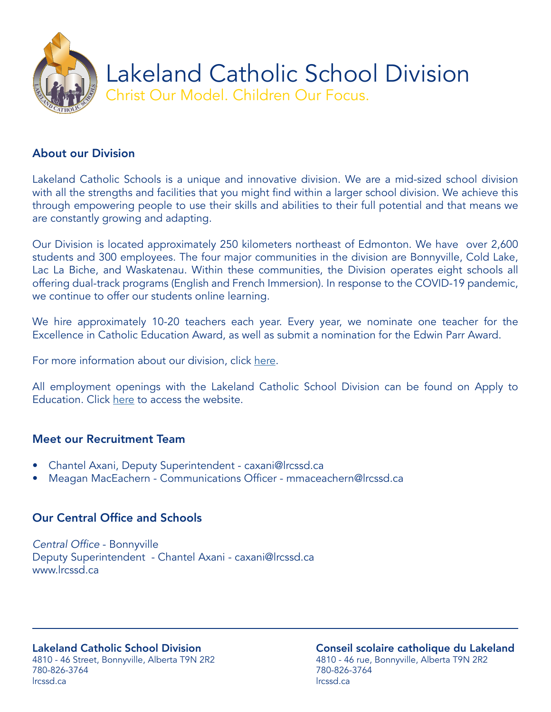

## About our Division

Lakeland Catholic Schools is a unique and innovative division. We are a mid-sized school division with all the strengths and facilities that you might find within a larger school division. We achieve this through empowering people to use their skills and abilities to their full potential and that means we are constantly growing and adapting.

Our Division is located approximately 250 kilometers northeast of Edmonton. We have over 2,600 students and 300 employees. The four major communities in the division are Bonnyville, Cold Lake, Lac La Biche, and Waskatenau. Within these communities, the Division operates eight schools all offering dual-track programs (English and French Immersion). In response to the COVID-19 pandemic, we continue to offer our students online learning.

We hire approximately 10-20 teachers each year. Every year, we nominate one teacher for the Excellence in Catholic Education Award, as well as submit a nomination for the Edwin Parr Award.

For more information about our division, click [here](https://www.lrcssd.ca/).

All employment openings with the Lakeland Catholic School Division can be found on Apply to Education. Click [here](https://lcsd150.simplication.com/WLSBLogin.aspx) to access the website.

#### Meet our Recruitment Team

- Chantel Axani, Deputy Superintendent caxani@lrcssd.ca
- Meagan MacEachern Communications Officer mmaceachern@lrcssd.ca

# Our Central Office and Schools

Central Office - Bonnyville Deputy Superintendent - Chantel Axani - caxani@lrcssd.ca www.lrcssd.ca

#### Lakeland Catholic School Division 4810 - 46 Street, Bonnyville, Alberta T9N 2R2 780-826-3764 lrcssd.ca

Conseil scolaire catholique du Lakeland 4810 - 46 rue, Bonnyville, Alberta T9N 2R2 780-826-3764 lrcssd.ca